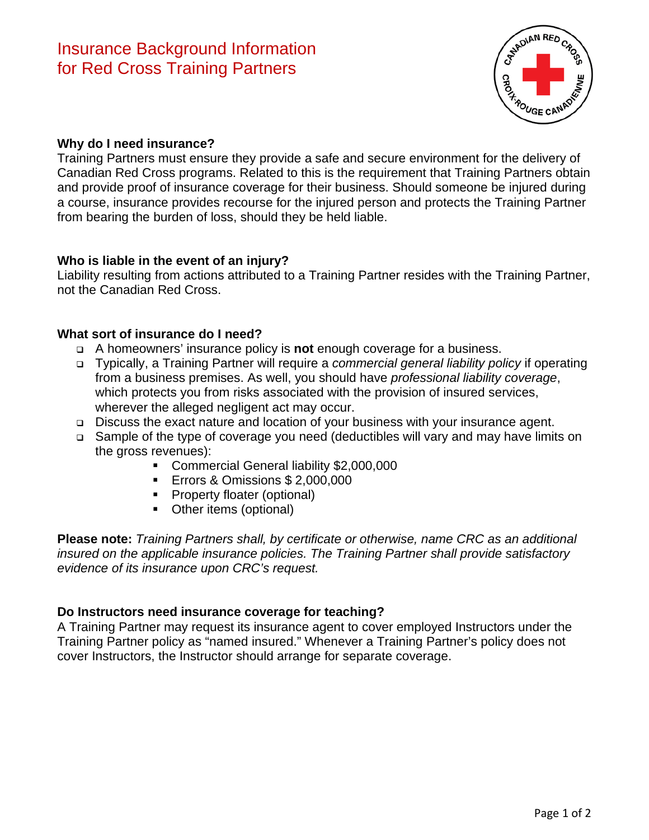

## **Why do I need insurance?**

Training Partners must ensure they provide a safe and secure environment for the delivery of Canadian Red Cross programs. Related to this is the requirement that Training Partners obtain and provide proof of insurance coverage for their business. Should someone be injured during a course, insurance provides recourse for the injured person and protects the Training Partner from bearing the burden of loss, should they be held liable.

# **Who is liable in the event of an injury?**

Liability resulting from actions attributed to a Training Partner resides with the Training Partner, not the Canadian Red Cross.

# **What sort of insurance do I need?**

- A homeowners' insurance policy is **not** enough coverage for a business.
- Typically, a Training Partner will require a *commercial general liability policy* if operating from a business premises. As well, you should have *professional liability coverage*, which protects you from risks associated with the provision of insured services, wherever the alleged negligent act may occur.
- Discuss the exact nature and location of your business with your insurance agent.
- Sample of the type of coverage you need (deductibles will vary and may have limits on the gross revenues):
	- Commercial General liability \$2,000,000
	- **Errors & Omissions \$ 2,000,000**
	- **Property floater (optional)**
	- Other items (optional)

**Please note:** *Training Partners shall, by certificate or otherwise, name CRC as an additional insured on the applicable insurance policies. The Training Partner shall provide satisfactory evidence of its insurance upon CRC's request.*

### **Do Instructors need insurance coverage for teaching?**

A Training Partner may request its insurance agent to cover employed Instructors under the Training Partner policy as "named insured." Whenever a Training Partner's policy does not cover Instructors, the Instructor should arrange for separate coverage.